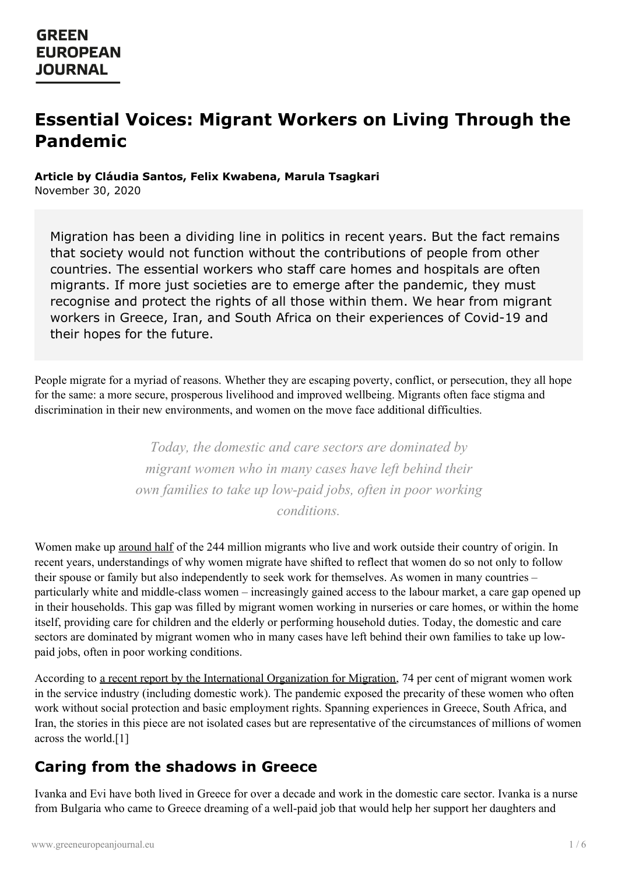# **Essential Voices: Migrant Workers on Living Through the Pandemic**

#### **Article by Cláudia Santos, Felix Kwabena, Marula Tsagkari**

November 30, 2020

Migration has been a dividing line in politics in recent years. But the fact remains that society would not function without the contributions of people from other countries. The essential workers who staff care homes and hospitals are often migrants. If more just societies are to emerge after the pandemic, they must recognise and protect the rights of all those within them. We hear from migrant workers in Greece, Iran, and South Africa on their experiences of Covid-19 and their hopes for the future.

People migrate for a myriad of reasons. Whether they are escaping poverty, conflict, or persecution, they all hope for the same: a more secure, prosperous livelihood and improved wellbeing. Migrants often face stigma and discrimination in their new environments, and women on the move face additional difficulties.

> *Today, the domestic and care sectors are dominated by migrant women who in many cases have left behind their own families to take up low-paid jobs, often in poor working conditions.*

Women make up [around](https://www.refworld.org/pdfid/5a1bfcce4.pdf) half of the 244 million migrants who live and work outside their country of origin. In recent years, understandings of why women migrate have shifted to reflect that women do so not only to follow their spouse or family but also independently to seek work for themselves. As women in many countries – particularly white and middle-class women – increasingly gained access to the labour market, a care gap opened up in their households. This gap was filled by migrant women working in nurseries or care homes, or within the home itself, providing care for children and the elderly or performing household duties. Today, the domestic and care sectors are dominated by migrant women who in many cases have left behind their own families to take up lowpaid jobs, often in poor working conditions.

According to a recent report by the International [Organization](https://publications.iom.int/system/files/pdf/wmr_2020.pdf) for Migration, 74 per cent of migrant women work in the service industry (including domestic work). The pandemic exposed the precarity of these women who often work without social protection and basic employment rights. Spanning experiences in Greece, South Africa, and Iran, the stories in this piece are not isolated cases but are representative of the circumstances of millions of women across the [world.\[1\]](https://www.greeneuropeanjournal.eu)

#### **Caring from the shadows in Greece**

Ivanka and Evi have both lived in Greece for over a decade and work in the domestic care sector. Ivanka is a nurse from Bulgaria who came to Greece dreaming of a well-paid job that would help her support her daughters and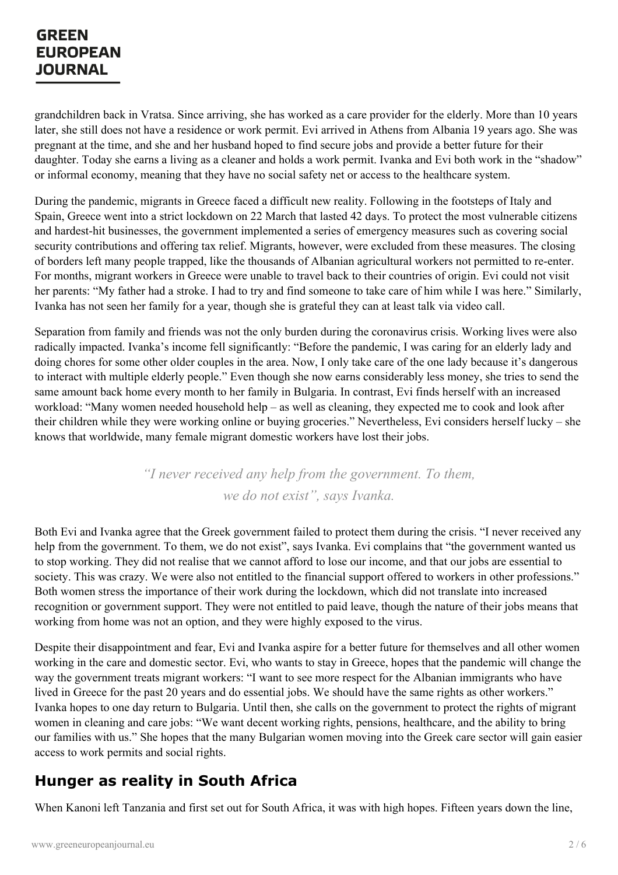grandchildren back in Vratsa. Since arriving, she has worked as a care provider for the elderly. More than 10 years later, she still does not have a residence or work permit. Evi arrived in Athens from Albania 19 years ago. She was pregnant at the time, and she and her husband hoped to find secure jobs and provide a better future for their daughter. Today she earns a living as a cleaner and holds a work permit. Ivanka and Evi both work in the "shadow" or informal economy, meaning that they have no social safety net or access to the healthcare system.

During the pandemic, migrants in Greece faced a difficult new reality. Following in the footsteps of Italy and Spain, Greece went into a strict lockdown on 22 March that lasted 42 days. To protect the most vulnerable citizens and hardest-hit businesses, the government implemented a series of emergency measures such as covering social security contributions and offering tax relief. Migrants, however, were excluded from these measures. The closing of borders left many people trapped, like the thousands of Albanian agricultural workers not permitted to re-enter. For months, migrant workers in Greece were unable to travel back to their countries of origin. Evi could not visit her parents: "My father had a stroke. I had to try and find someone to take care of him while I was here." Similarly, Ivanka has not seen her family for a year, though she is grateful they can at least talk via video call.

Separation from family and friends was not the only burden during the coronavirus crisis. Working lives were also radically impacted. Ivanka's income fell significantly: "Before the pandemic, I was caring for an elderly lady and doing chores for some other older couples in the area. Now, I only take care of the one lady because it's dangerous to interact with multiple elderly people." Even though she now earns considerably less money, she tries to send the same amount back home every month to her family in Bulgaria. In contrast, Evi finds herself with an increased workload: "Many women needed household help – as well as cleaning, they expected me to cook and look after their children while they were working online or buying groceries." Nevertheless, Evi considers herself lucky – she knows that worldwide, many female migrant domestic workers have lost their jobs.

> *"I never received any help from the government. To them, we do not exist", says Ivanka.*

Both Evi and Ivanka agree that the Greek government failed to protect them during the crisis. "I never received any help from the government. To them, we do not exist", says Ivanka. Evi complains that "the government wanted us to stop working. They did not realise that we cannot afford to lose our income, and that our jobs are essential to society. This was crazy. We were also not entitled to the financial support offered to workers in other professions." Both women stress the importance of their work during the lockdown, which did not translate into increased recognition or government support. They were not entitled to paid leave, though the nature of their jobs means that working from home was not an option, and they were highly exposed to the virus.

Despite their disappointment and fear, Evi and Ivanka aspire for a better future for themselves and all other women working in the care and domestic sector. Evi, who wants to stay in Greece, hopes that the pandemic will change the way the government treats migrant workers: "I want to see more respect for the Albanian immigrants who have lived in Greece for the past 20 years and do essential jobs. We should have the same rights as other workers." Ivanka hopes to one day return to Bulgaria. Until then, she calls on the government to protect the rights of migrant women in cleaning and care jobs: "We want decent working rights, pensions, healthcare, and the ability to bring our [families](https://www.greeneuropeanjournal.eu) with us." She hopes that the many Bulgarian women moving into the Greek care sector will gain easier access to work permits and social rights.

#### **Hunger as reality in South Africa**

When Kanoni left Tanzania and first set out for South Africa, it was with high hopes. Fifteen years down the line,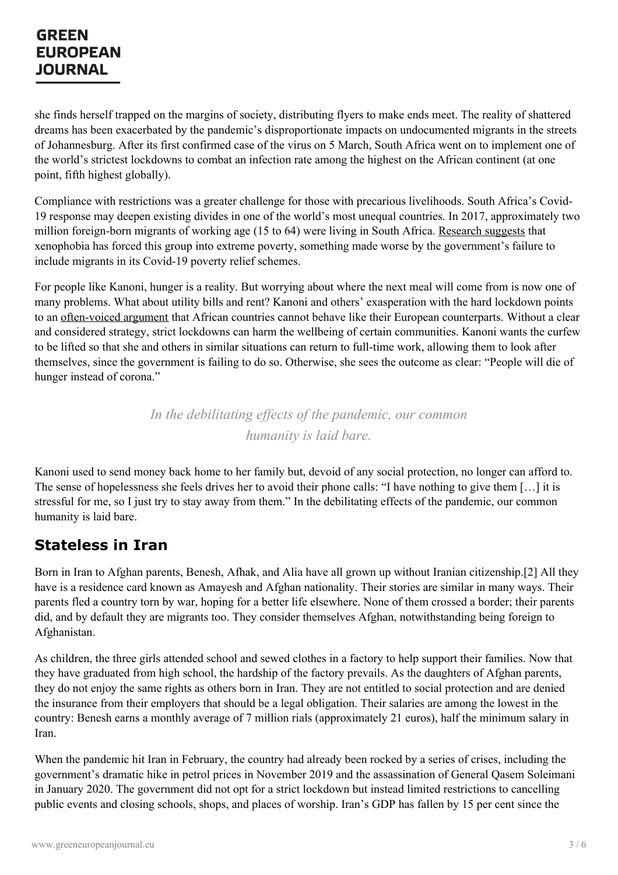she finds herself trapped on the margins of society, distributing flyers to make ends meet. The reality of shattered dreams has been exacerbated by the pandemic's disproportionate impacts on undocumented migrants in the streets of Johannesburg. After its first confirmed case of the virus on 5 March, South Africa went on to implement one of the world's strictest lockdowns to combat an infection rate among the highest on the African continent (at one point, fifth highest globally).

Compliance with restrictions was a greater challenge for those with precarious livelihoods. South Africa's Covid-19 response may deepen existing divides in one of the world's most unequal countries. In 2017, approximately two million foreign-born migrants of working age (15 to 64) were living in South Africa. [Research](https://equityhealthj.biomedcentral.com/articles/10.1186/s12939-020-01259-4) suggests that xenophobia has forced this group into extreme poverty, something made worse by the government's failure to include migrants in its Covid-19 poverty relief schemes.

For people like Kanoni, hunger is a reality. But worrying about where the next meal will come from is now one of many problems. What about utility bills and rent? Kanoni and others' exasperation with the hard lockdown points to an [often-voiced](https://allafrica.com/stories/202004240315.html) argument that African countries cannot behave like their European counterparts. Without a clear and considered strategy, strict lockdowns can harm the wellbeing of certain communities. Kanoni wants the curfew to be lifted so that she and others in similar situations can return to full-time work, allowing them to look after themselves, since the government is failing to do so. Otherwise, she sees the outcome as clear: "People will die of hunger instead of corona."

> *In the debilitating ef ects of the pandemic, our common humanity is laid bare.*

Kanoni used to send money back home to her family but, devoid of any social protection, no longer can afford to. The sense of hopelessness she feels drives her to avoid their phone calls: "I have nothing to give them […] it is stressful for me, so I just try to stay away from them." In the debilitating effects of the pandemic, our common humanity is laid bare.

## **Stateless in Iran**

Born in Iran to Afghan parents, Benesh, Afhak, and Alia have all grown up without Iranian citizenship.[2] All they have is a residence card known as Amayesh and Afghan nationality. Their stories are similar in many ways. Their parents fled a country torn by war, hoping for a better life elsewhere. None of them crossed a border; their parents did, and by default they are migrants too. They consider themselves Afghan, notwithstanding being foreign to Afghanistan.

As children, the three girls attended school and sewed clothes in a factory to help support their families. Now that they have graduated from high school, the hardship of the factory prevails. As the daughters of Afghan parents, they do not enjoy the same rights as others born in Iran. They are not entitled to social protection and are denied the insurance from their employers that should be a legal obligation. Their salaries are among the lowest in the country: Benesh earns a monthly average of 7 million rials (approximately 21 euros), half the minimum salary in [Iran.](https://www.greeneuropeanjournal.eu)

When the pandemic hit Iran in February, the country had already been rocked by a series of crises, including the government's dramatic hike in petrol prices in November 2019 and the assassination of General Qasem Soleimani in January 2020. The government did not opt for a strict lockdown but instead limited restrictions to cancelling public events and closing schools, shops, and places of worship. Iran's GDP has fallen by 15 per cent since the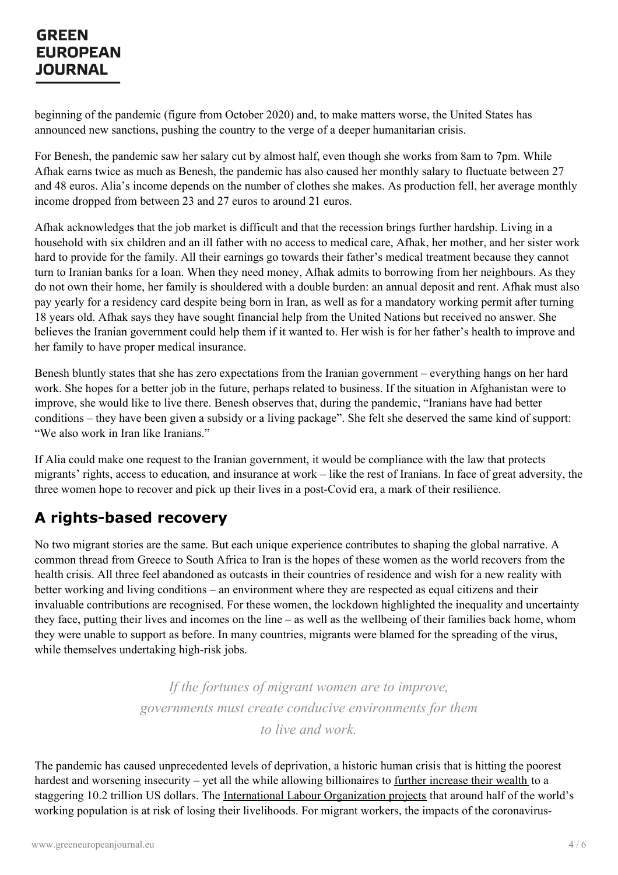beginning of the pandemic (figure from October 2020) and, to make matters worse, the United States has announced new sanctions, pushing the country to the verge of a deeper humanitarian crisis.

For Benesh, the pandemic saw her salary cut by almost half, even though she works from 8am to 7pm. While Afhak earns twice as much as Benesh, the pandemic has also caused her monthly salary to fluctuate between 27 and 48 euros. Alia's income depends on the number of clothes she makes. As production fell, her average monthly income dropped from between 23 and 27 euros to around 21 euros.

Afhak acknowledges that the job market is difficult and that the recession brings further hardship. Living in a household with six children and an ill father with no access to medical care, Afhak, her mother, and her sister work hard to provide for the family. All their earnings go towards their father's medical treatment because they cannot turn to Iranian banks for a loan. When they need money, Afhak admits to borrowing from her neighbours. As they do not own their home, her family is shouldered with a double burden: an annual deposit and rent. Afhak must also pay yearly for a residency card despite being born in Iran, as well as for a mandatory working permit after turning 18 years old. Afhak says they have sought financial help from the United Nations but received no answer. She believes the Iranian government could help them if it wanted to. Her wish is for her father's health to improve and her family to have proper medical insurance.

Benesh bluntly states that she has zero expectations from the Iranian government – everything hangs on her hard work. She hopes for a better job in the future, perhaps related to business. If the situation in Afghanistan were to improve, she would like to live there. Benesh observes that, during the pandemic, "Iranians have had better conditions – they have been given a subsidy or a living package". She felt she deserved the same kind of support: "We also work in Iran like Iranians."

If Alia could make one request to the Iranian government, it would be compliance with the law that protects migrants' rights, access to education, and insurance at work – like the rest of Iranians. In face of great adversity, the three women hope to recover and pick up their lives in a post-Covid era, a mark of their resilience.

## **A rights-based recovery**

No two migrant stories are the same. But each unique experience contributes to shaping the global narrative. A common thread from Greece to South Africa to Iran is the hopes of these women as the world recovers from the health crisis. All three feel abandoned as outcasts in their countries of residence and wish for a new reality with better working and living conditions – an environment where they are respected as equal citizens and their invaluable contributions are recognised. For these women, the lockdown highlighted the inequality and uncertainty they face, putting their lives and incomes on the line – as well as the wellbeing of their families back home, whom they were unable to support as before. In many countries, migrants were blamed for the spreading of the virus, while themselves undertaking high-risk jobs.

> *If the fortunes of migrant women are to improve, governments must create conducive environments for them to live and work.*

The pandemic has caused unprecedented levels of deprivation, a historic human crisis that is hitting the poorest hardest and worsening insecurity – yet all the while allowing billionaires to further [increase](https://www.theguardian.com/business/2020/oct/07/covid-19-crisis-boosts-the-fortunes-of-worlds-billionaires) their wealth to a staggering 10.2 trillion US dollars. The International Labour [Organization](https://www.ilo.org/global/about-the-ilo/newsroom/news/WCMS_743036/lang--en/index.htm) projects that around half of the world's working population is at risk of losing their livelihoods. For migrant workers, the impacts of the coronavirus-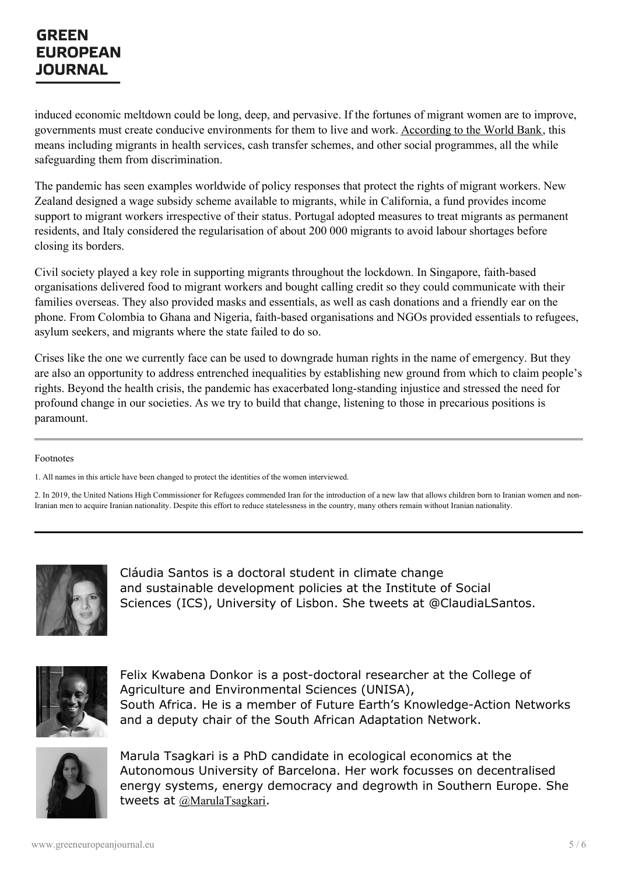induced economic meltdown could be long, deep, and pervasive. If the fortunes of migrant women are to improve, governments must create conducive environments for them to live and work. [According](https://www.worldbank.org/en/topic/socialprotection/publication/covid-19-crisis-through-a-migration-lens) to the World Bank, this means including migrants in health services, cash transfer schemes, and other social programmes, all the while safeguarding them from discrimination.

The pandemic has seen examples worldwide of policy responses that protect the rights of migrant workers. New Zealand designed a wage subsidy scheme available to migrants, while in California, a fund provides income support to migrant workers irrespective of their status. Portugal adopted measures to treat migrants as permanent residents, and Italy considered the regularisation of about 200 000 migrants to avoid labour shortages before closing its borders.

Civil society played a key role in supporting migrants throughout the lockdown. In Singapore, faith-based organisations delivered food to migrant workers and bought calling credit so they could communicate with their families overseas. They also provided masks and essentials, as well as cash donations and a friendly ear on the phone. From Colombia to Ghana and Nigeria, faith-based organisations and NGOs provided essentials to refugees, asylum seekers, and migrants where the state failed to do so.

Crises like the one we currently face can be used to downgrade human rights in the name of emergency. But they are also an opportunity to address entrenched inequalities by establishing new ground from which to claim people's rights. Beyond the health crisis, the pandemic has exacerbated long-standing injustice and stressed the need for profound change in our societies. As we try to build that change, listening to those in precarious positions is paramount.

#### Footnotes

1. All names in this article have been changed to protect the identities of the women interviewed.

2. In 2019, the United Nations High Commissioner for Refugees commended Iran for the introduction of a new law that allows children born to Iranian women and non-Iranian men to acquire Iranian nationality. Despite this effort to reduce statelessness in the country, many others remain without Iranian nationality.



Cláudia Santos is a doctoral student in climate change and sustainable development policies at the Institute of Social Sciences (ICS), University of Lisbon. She tweets at @ClaudiaLSantos.



Felix Kwabena Donkor is a post-doctoral researcher at the College of Agriculture and Environmental Sciences (UNISA), South Africa. He is a member of Future Earth's Knowledge-Action Networks and a deputy chair of the South African Adaptation Network.



Marula Tsagkari is a PhD candidate in ecological economics at the Autonomous University of Barcelona. Her work focusses on decentralised energy systems, energy democracy and degrowth in Southern Europe. She tweets at [@MarulaTsagkari](https://twitter.com/MarulaTsagkari).